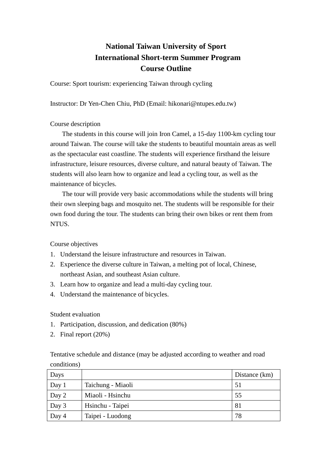## **National Taiwan University of Sport International Short-term Summer Program Course Outline**

Course: Sport tourism: experiencing Taiwan through cycling

Instructor: Dr Yen-Chen Chiu, PhD (Email: hikonari@ntupes.edu.tw)

Course description

The students in this course will join Iron Camel, a 15-day 1100-km cycling tour around Taiwan. The course will take the students to beautiful mountain areas as well as the spectacular east coastline. The students will experience firsthand the leisure infrastructure, leisure resources, diverse culture, and natural beauty of Taiwan. The students will also learn how to organize and lead a cycling tour, as well as the maintenance of bicycles.

The tour will provide very basic accommodations while the students will bring their own sleeping bags and mosquito net. The students will be responsible for their own food during the tour. The students can bring their own bikes or rent them from NTUS.

Course objectives

- 1. Understand the leisure infrastructure and resources in Taiwan.
- 2. Experience the diverse culture in Taiwan, a melting pot of local, Chinese, northeast Asian, and southeast Asian culture.
- 3. Learn how to organize and lead a multi-day cycling tour.
- 4. Understand the maintenance of bicycles.

Student evaluation

- 1. Participation, discussion, and dedication (80%)
- 2. Final report (20%)

Tentative schedule and distance (may be adjusted according to weather and road conditions)

| Days  |                   | Distance (km) |
|-------|-------------------|---------------|
| Day 1 | Taichung - Miaoli | 51            |
| Day 2 | Miaoli - Hsinchu  | 55            |
| Day 3 | Hsinchu - Taipei  | 81            |
| Day 4 | Taipei - Luodong  | 78            |